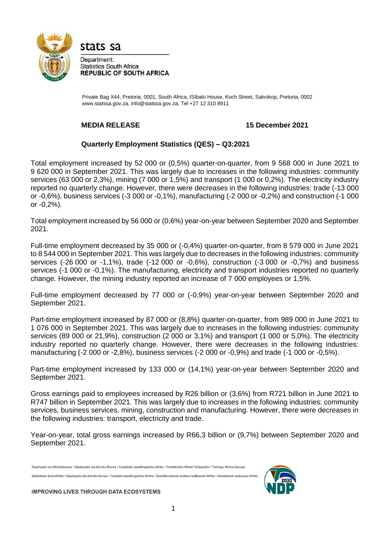

stats sa

Department: **Statistics South Africa REPUBLIC OF SOUTH AFRICA** 

Private Bag X44, Pretoria, 0001, South Africa, ISIbalo House, Koch Street, Salvokop, Pretoria, 000[2](http://www.statssa.gov.za/) [www.statssa.gov.za, i](http://www.statssa.gov.za/)[nfo@statssa.gov.za, T](mailto:info@statssa.gov.za)el +27 12 310 8911

## **MEDIA RELEASE 15 December 2021**

## **Quarterly Employment Statistics (QES) – Q3:2021**

Total employment increased by 52 000 or (0,5%) quarter-on-quarter, from 9 568 000 in June 2021 to 9 620 000 in September 2021. This was largely due to increases in the following industries: community services (63 000 or 2,3%), mining (7 000 or 1,5%) and transport (1 000 or 0,2%). The electricity industry reported no quarterly change. However, there were decreases in the following industries: trade (-13 000 or -0,6%), business services (-3 000 or -0,1%), manufacturing (-2 000 or -0,2%) and construction (-1 000 or -0,2%).

Total employment increased by 56 000 or (0,6%) year-on-year between September 2020 and September 2021.

Full-time employment decreased by 35 000 or (-0,4%) quarter-on-quarter, from 8 579 000 in June 2021 to 8 544 000 in September 2021. This was largely due to decreases in the following industries: community services (-26 000 or -1,1%), trade (-12 000 or -0,6%), construction (-3 000 or -0,7%) and business services (-1 000 or -0,1%). The manufacturing, electricity and transport industries reported no quarterly change. However, the mining industry reported an increase of 7 000 employees or 1,5%.

Full-time employment decreased by 77 000 or (-0,9%) year-on-year between September 2020 and September 2021.

Part-time employment increased by 87 000 or (8,8%) quarter-on-quarter, from 989 000 in June 2021 to 1 076 000 in September 2021. This was largely due to increases in the following industries: community services (89 000 or 21,9%), construction (2 000 or 3,1%) and transport (1 000 or 5,0%). The electricity industry reported no quarterly change. However, there were decreases in the following industries: manufacturing (-2 000 or -2,8%), business services (-2 000 or -0,9%) and trade (-1 000 or -0,5%).

Part-time employment increased by 133 000 or (14,1%) year-on-year between September 2020 and September 2021.

Gross earnings paid to employees increased by R26 billion or (3,6%) from R721 billion in June 2021 to R747 billion in September 2021. This was largely due to increases in the following industries: community services, business services, mining, construction and manufacturing. However, there were decreases in the following industries: transport, electricity and trade.

Year-on-year, total gross earnings increased by R66,3 billion or (9,7%) between September 2020 and September 2021.

Dipalopalo tsa Aforikaborwa • Dipalopalo tsa Aforika Borwa • Ezazibalo zaseNingizimu Afrika • Tshitatistika Afrika Tshipembe • Tinhlayo Afrika-Dzonga Statistieke Suid-Afrika • Dipalopalo tša Aforika Borwa • Telubalo zaseNingizimu Afrika • EzeeNkcukacha maNani zoMzantsi Afrika • limbalobalo zeSewula Afrika



**IMPROVING LIVES THROUGH DATA ECOSYSTEMS**